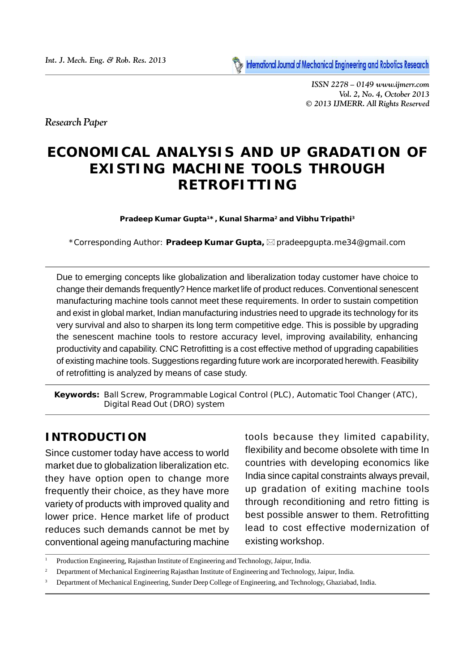

*ISSN 2278 – 0149 www.ijmerr.com Vol. 2, No. 4, October 2013 © 2013 IJMERR. All Rights Reserved*

*Research Paper*

# **ECONOMICAL ANALYSIS AND UP GRADATION OF EXISTING MACHINE TOOLS THROUGH RETROFITTING**

**Pradeep Kumar Gupta<sup>1</sup>\*, Kunal Sharma<sup>2</sup> and Vibhu Tripathi<sup>3</sup>**

*\*Corresponding Author: Pradeep Kumar Gupta, pradeepgupta.me34@gmail.com*

Due to emerging concepts like globalization and liberalization today customer have choice to change their demands frequently? Hence market life of product reduces. Conventional senescent manufacturing machine tools cannot meet these requirements. In order to sustain competition and exist in global market, Indian manufacturing industries need to upgrade its technology for its very survival and also to sharpen its long term competitive edge. This is possible by upgrading the senescent machine tools to restore accuracy level, improving availability, enhancing productivity and capability. CNC Retrofitting is a cost effective method of upgrading capabilities of existing machine tools. Suggestions regarding future work are incorporated herewith. Feasibility of retrofitting is analyzed by means of case study.

*Keywords:* Ball Screw, Programmable Logical Control (PLC), Automatic Tool Changer (ATC), Digital Read Out (DRO) system

#### **INTRODUCTION**

Since customer today have access to world market due to globalization liberalization etc. they have option open to change more frequently their choice, as they have more variety of products with improved quality and lower price. Hence market life of product reduces such demands cannot be met by conventional ageing manufacturing machine

tools because they limited capability, flexibility and become obsolete with time In countries with developing economics like India since capital constraints always prevail, up gradation of exiting machine tools through reconditioning and retro fitting is best possible answer to them. Retrofitting lead to cost effective modernization of existing workshop.

<sup>1</sup> Production Engineering, Rajasthan Institute of Engineering and Technology, Jaipur, India.

<sup>2</sup> Department of Mechanical Engineering Rajasthan Institute of Engineering and Technology, Jaipur, India.

<sup>3</sup> Department of Mechanical Engineering, Sunder Deep College of Engineering, and Technology, Ghaziabad, India.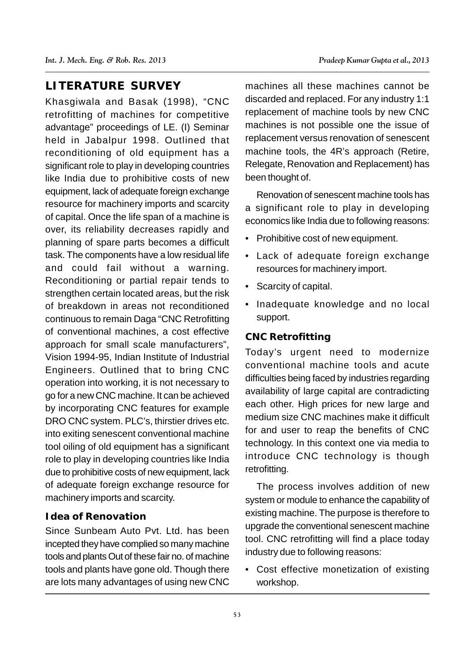## **LITERATURE SURVEY**

Khasgiwala and Basak (1998), "CNC retrofitting of machines for competitive advantage" proceedings of LE. (I) Seminar held in Jabalpur 1998. Outlined that reconditioning of old equipment has a significant role to play in developing countries like India due to prohibitive costs of new equipment, lack of adequate foreign exchange resource for machinery imports and scarcity of capital. Once the life span of a machine is over, its reliability decreases rapidly and planning of spare parts becomes a difficult task. The components have a low residual life and could fail without a warning. Reconditioning or partial repair tends to strengthen certain located areas, but the risk of breakdown in areas not reconditioned continuous to remain Daga "CNC Retrofitting of conventional machines, a cost effective approach for small scale manufacturers", Vision 1994-95, Indian Institute of Industrial Engineers. Outlined that to bring CNC operation into working, it is not necessary to go for a new CNC machine. It can be achieved by incorporating CNC features for example DRO CNC system. PLC's, thirstier drives etc. into exiting senescent conventional machine tool oiling of old equipment has a significant role to play in developing countries like India due to prohibitive costs of new equipment, lack of adequate foreign exchange resource for machinery imports and scarcity.

#### **Idea of Renovation**

Since Sunbeam Auto Pvt. Ltd. has been incepted they have complied so many machine tools and plants Out of these fair no. of machine tools and plants have gone old. Though there are lots many advantages of using new CNC

machines all these machines cannot be discarded and replaced. For any industry 1:1 replacement of machine tools by new CNC machines is not possible one the issue of replacement versus renovation of senescent machine tools, the 4R's approach (Retire, Relegate, Renovation and Replacement) has been thought of.

Renovation of senescent machine tools has a significant role to play in developing economics like India due to following reasons:

- Prohibitive cost of new equipment.
- Lack of adequate foreign exchange resources for machinery import.
- Scarcity of capital.
- Inadequate knowledge and no local support.

#### **CNC Retrofitting**

Today's urgent need to modernize conventional machine tools and acute difficulties being faced by industries regarding availability of large capital are contradicting each other. High prices for new large and medium size CNC machines make it difficult for and user to reap the benefits of CNC technology. In this context one via media to introduce CNC technology is though retrofitting.

The process involves addition of new system or module to enhance the capability of existing machine. The purpose is therefore to upgrade the conventional senescent machine tool. CNC retrofitting will find a place today industry due to following reasons:

• Cost effective monetization of existing workshop.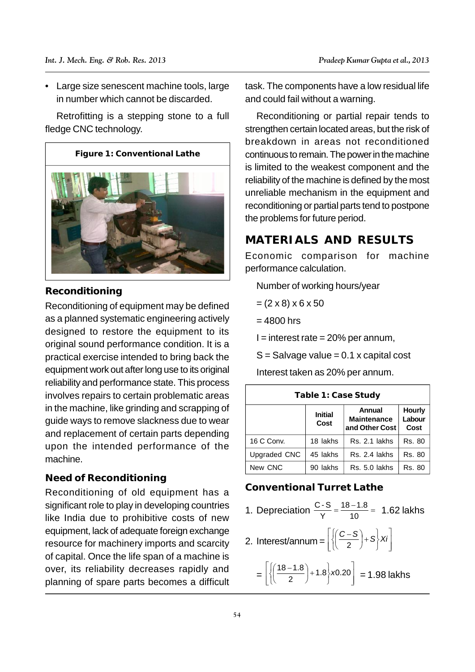• Large size senescent machine tools, large in number which cannot be discarded.

Retrofitting is a stepping stone to a full fledge CNC technology.



#### **Reconditioning**

Reconditioning of equipment may be defined as a planned systematic engineering actively designed to restore the equipment to its original sound performance condition. It is a practical exercise intended to bring back the equipment work out after long use to its original reliability and performance state. This process involves repairs to certain problematic areas in the machine, like grinding and scrapping of guide ways to remove slackness due to wear and replacement of certain parts depending upon the intended performance of the machine.

#### **Need of Reconditioning**

Reconditioning of old equipment has a significant role to play in developing countries like India due to prohibitive costs of new equipment, lack of adequate foreign exchange resource for machinery imports and scarcity of capital. Once the life span of a machine is over, its reliability decreases rapidly and planning of spare parts becomes a difficult task. The components have a low residual life and could fail without a warning.

Reconditioning or partial repair tends to strengthen certain located areas, but the risk of breakdown in areas not reconditioned continuous to remain. The power in the machine is limited to the weakest component and the reliability of the machine is defined by the most unreliable mechanism in the equipment and reconditioning or partial parts tend to postpone the problems for future period.

## **MATERIALS AND RESULTS**

Economic comparison for machine performance calculation.

Number of working hours/year

- $=(2 \times 8) \times 6 \times 50$
- $= 4800$  hrs

 $I =$  interest rate = 20% per annum.

 $S = S$ alvage value = 0.1 x capital cost

Interest taken as 20% per annum.

| Table 1: Case Study |                        |                                                |                                 |  |  |
|---------------------|------------------------|------------------------------------------------|---------------------------------|--|--|
|                     | <b>Initial</b><br>Cost | Annual<br><b>Maintenance</b><br>and Other Cost | <b>Hourly</b><br>Labour<br>Cost |  |  |
| 16 C Conv.          | 18 lakhs               | Rs. 2.1 lakhs                                  | <b>Rs. 80</b>                   |  |  |
| Upgraded CNC        | 45 lakhs               | Rs. 2.4 lakhs                                  | Rs. 80                          |  |  |
| New CNC             | 90 lakhs               | Rs. 5.0 lakhs                                  | Rs. 80                          |  |  |

#### **Conventional Turret Lathe**

- 1. Depreciation  $\frac{C-S}{Y} = \frac{18-1.8}{10} = 1.62$  lakhs  $Y = 10$   $10$  $\frac{C-S}{V} = \frac{18-1.8}{10} = 1.62$  lakhs
- 2. Interest/annum =  $\left[\left\langle \left(\frac{-2}{2}\right)^{+\frac{1}{2}}\right\rangle^{X}I\right]$ de la construcción de la construcción de la construcción de la construcción de la construcción de la construcción de la construcción de la construcción de la construcción de la construcción de la construcción de la constru  $\left[ (C-S)$   $\right]$   $\left[ \ldots \right]$ ј је на против се при  $\{Xi\}$  $\left| \cdot \right|$  $\begin{bmatrix} 2 & 3 \end{bmatrix}$  $\left\{ \frac{1}{2} + S \right\}$  Xi  $\left\{\left(\frac{C-S}{2}\right)+S\right\}X_i$  $\cup$   $\cup$   $\cup$  $\left(\frac{C-S}{2}\right)+S\left|Xi\right|$  $(2)$  | |  $\left(\frac{C-S}{2}\right)+S\left|Xi\right|$

 $=\left[\left\{\left(\frac{1}{2}\right)^{1+1.8}\right\}^{X0.20}\right]=1.98$  lakhs  $\mathbf{I}$  and  $\mathbf{I}$  are all  $\mathbf{I}$  and  $\mathbf{I}$  are all  $\mathbf{I}$  $\begin{bmatrix} 1 & 2 & 7 & 7 & 7 \end{bmatrix}$  $\left[\begin{pmatrix} 18-1.8 \end{pmatrix}, \begin{pmatrix} 1 \end{pmatrix}, \begin{pmatrix} 1 \end{pmatrix}, \begin{pmatrix} 1 \end{pmatrix}, \begin{pmatrix} 1 \end{pmatrix}, \begin{pmatrix} 1 \end{pmatrix}, \begin{pmatrix} 1 \end{pmatrix}, \begin{pmatrix} 1 \end{pmatrix}, \begin{pmatrix} 1 \end{pmatrix}, \begin{pmatrix} 1 \end{pmatrix}, \begin{pmatrix} 1 \end{pmatrix}, \begin{pmatrix} 1 \end{pmatrix}, \begin{pmatrix} 1 \end{pmatrix}, \begin{pmatrix} 1 \end{pmatrix}, \begin{pmatrix} 1 \end{pmatrix}, \begin{$  $\left[\begin{array}{c} 0 & 1 \\ 0 & 1 \end{array}\right]$  = 1.00 mm not  $|^{10.20}|$  = 1.98 lakhs  $\vert$  0.00  $\vert$  $\begin{bmatrix} 2 & 1 \\ 2 & 2 \end{bmatrix}$   $\begin{bmatrix} -1.00 \\ 0.00 \end{bmatrix}$  $\frac{1}{2}$  -  $\frac{1}{2}$  +1.8  $x0.20$  = 1.98 la  $\sqrt{\frac{18-1.8}{2}}+1.8\times0.20$  = 1.98 lakhs  $( )$   $]$   $]$   $-$  1.00 km  $\left(\frac{18-1.8}{2}\right)+1.8\times0.20\Big|_{\right.}$  = 1.98 lakk  $(2)$   $\left| \begin{array}{c} -1 \\ -1 \end{array} \right|$  $\left(\frac{18-1.8}{2}\right)$ +1.8  $x$ 0.20 = 1.98 lakhs  $\left|\frac{18-1.8}{2}\right|$ +1.8 *x* 0.20 **a** = 1.98 lakhs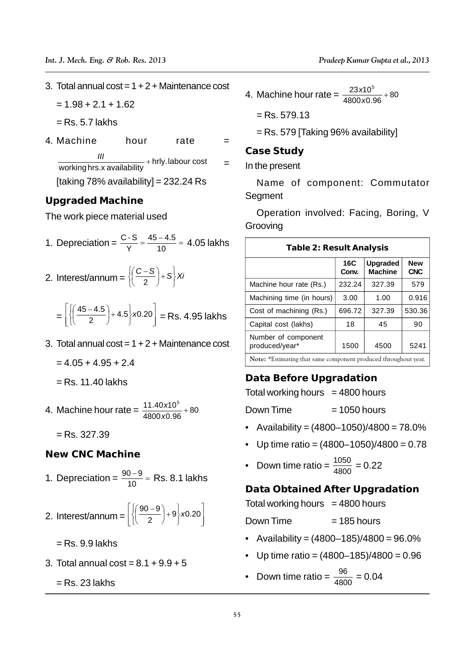- 3. Total annual  $\cos t = 1 + 2 + \text{M}$ aintenance  $\cos t$ 
	- $= 1.98 + 2.1 + 1.62$
	- $=$  Rs. 5.7 lakhs
- 4. Machine **hour** rate working hrs.x availability  $+$  hrly. labour cost  $=$  In the p  $\frac{III}{II}$  + hrly.labour cost = ln the process [taking  $78\%$  availability] =  $232.24$  Rs

#### **Upgraded Machine**

The work piece material used

- 1. Depreciation =  $\frac{C-S}{Y} = \frac{45-4.5}{10} = 4.05$  lakhs Table 2 Y 10 <sup>noonanno</sup> | Ta  $\frac{C-S}{V} = \frac{45-4.5}{10} = 4.05$  lakhs
- 2. Interest/annum =  $\left\{\left(\frac{C-S}{2}\right)+S\right\}Xi^{'}$  /  $\left\{\frac{C-S}{2}\right\}$  /  $\left\{\frac{C-S}{2}\right\}$  /  $\left\{\frac{C-S}{2}\right\}$  /  $\left\{\frac{C-S}{2}\right\}$  /  $\left\{\frac{C-S}{2}\right\}$  /  $\left\{\frac{C-S}{2}\right\}$  /  $\left\{\frac{C-S}{2}\right\}$  /  $\left\{\frac{C-S}{2}\right\}$  /  $\left\{\frac{C-S}{2}\right\}$  /  $\$  $\begin{bmatrix} 2 & 1 \\ 2 & 2 & 3 \end{bmatrix}$  | M  $\left\{\left|\frac{1}{2}\right|+\left|\frac{1}{2}\right|\right\}$   $\left|\frac{1}{2}\right|$  $\left\{\left(\frac{C-S}{2}\right)+S\right\}Xi$   $\left|\frac{C-S}{2}\right|$ ノ J I N  $\left(\frac{C-S}{2}\right)+S\left\{Xi\right\}$  $(2)$  $(C-S)$   $_{\sim}$   $\sqrt{2}$ 2 J Machine ho
	- $=\left[\left(\left(\frac{2}{2}\right)^{1+4.5}\right)^{1+4.5}\right]^{1+4.5}$  = Rs. 4.95 lakhs = the company of the company of the  $\begin{bmatrix} 1 & 2 & 7 & 7 & 7 \end{bmatrix}$  $\left[ (45-4.5)$ ,  $\right]$ ,  $\left[ 6, 68 \right]$  $\left| \begin{array}{cc} \end{array} \right|$   $\left| \begin{array}{cc} \end{array} \right|$   $\left| \begin{array}{cc} \end{array} \right|$  $|^{10.20}|$  = Rs. 4.95 lakhs  $\Box$  $\begin{array}{ccc} \begin{array}{ccc} \end{array} & & \begin{array}{ccc} \end{array} & & \begin{array}{ccc} \end{array} \end{array}$  $\begin{bmatrix} 2 & 1 \\ 2 & 2 \end{bmatrix}$   $\begin{bmatrix} 2 & 1 \\ 1 & 1 \end{bmatrix}$  $\frac{1}{2}$  + 4.5 \x0.20 | = Rs, 4.9  $\sqrt{\frac{45-4.5}{8}}+4.5$  x0.20 = Rs. 4.95 lakhs  $\left( \begin{array}{cc} 0 & 1 \\ 0 & 1 \end{array} \right)$  |  $-1$  1.00  $\left(\frac{45-4.5}{2}\right)$  + 4.5  $\times$  0.20 = Rs. 4.95 (2) J | "  $\left(\frac{45-4.5}{2}\right)$  + 4.5  $\times$  0.20 = Rs. 4.95 lakhs  $\left|\begin{array}{cc} \text{Cost of mac} \\ \text{Cantal cost} \end{array}\right|$  $\left(\frac{45-4.5}{2}\right)$  + 4.5  $x$ 0.20 = Rs. 4.95 lakhs  $\left(\frac{\text{Cos}}{2}\right)$
- 3. Total annual  $\cos t = 1 + 2 +$  Maintenance cost
	- $= 4.05 + 4.95 + 2.4$
	- $=$  Rs. 11.40 lakhs

4. Machine hour rate =  $\frac{11.40 \times 10}{4800 \times 0.96} + 80$  Down Time = 11.40 <sup>10</sup><sup>5</sup> *x*0.96 and *x*0.96  $x10^{\circ}$  and  $D_{\text{QMM}}$  Time

 $=$  Rs. 327.39

**New CNC Machine**

- 1. Depreciation =  $\frac{90-9}{10}$  = Rs. 8.1 lakhs  $10 \qquad \qquad \text{Note:}$  $\frac{90-9}{10}$  = Rs. 8.1 lakhs
- 2. Interest/annum =  $\left[\left(\frac{1}{2}\right)^{1+9} \right]$  X<sup>0.20</sup> Down Time  $\left[\left(90-9\right)\right]$   $\left[\right]$  $\{x0.20\}$  $[2 \t 2 \t 5 \t 1 \t 2 \t 1]$  Do  $\frac{1}{2}$  +9 x0.20  $\sqrt{\frac{90-9}{2}}+9$ /x0.20 ノ J | Dov  $\left(\frac{90-9}{2}\right)+9$  x0.20  $(2)$  |  $\left(\frac{90-9}{2}\right)$ +9  $\left| \times 0.20 \right|$  Down Time =  $\frac{90-9}{2}$  + 9 x 0.20  $\left| \frac{30-9}{2} \right|$ 
	- $=$  Rs. 9.9 lakhs
- 3. Total annual  $\cos t = 8.1 + 9.9 + 5$

 $=$  Rs. 23 lakhs

4. Machine hour rate  $=\frac{23210}{4800 \times 0.96} + 80$  $\frac{23 \times 10^5}{222 \times 10^5}$  + 80 *x*0.96 and *x*0.96 and *x*0.96 and *x*0.96 and *x*0.96 and *x*0.96 and *x*0.96 and *x*0.96 and *x*0.96 and *x*0.96 and *x*0.96 and *x*0.96 and *x*0.96 and *x*0.96 and *x*0.96 and *x*0.96 and *x*0.96 and *x*0.96 and *x*0.9  $x10^5$   $_{1.90}$ 

 $=$  Rs. 579.13

= Rs. 579 [Taking 96% availability]

**Case Study**

= In the present

Name of component: Commutator Segment

Operation involved: Facing, Boring, V Grooving

| – = 4.05 lakns | Table 2: Result Analysis                               |              |                            |                          |  |
|----------------|--------------------------------------------------------|--------------|----------------------------|--------------------------|--|
| ∤Xi            |                                                        | 16C<br>Conv. | Upgraded<br><b>Machine</b> | <b>New</b><br><b>CNC</b> |  |
|                | Machine hour rate (Rs.)                                | 232.24       | 327.39                     | 579                      |  |
|                | Machining time (in hours)                              | 3.00         | 1.00                       | 0.916                    |  |
| \s. 4.95 lakhs | Cost of machining (Rs.)                                | 696.72       | 327.39                     | 530.36                   |  |
|                | Capital cost (lakhs)                                   | 18           | 45                         | 90                       |  |
| intenance cost | Number of component<br>produced/year*                  | 1500         | 4500                       | 5241                     |  |
|                | 水平 マン・金官 コインフォール オーラン・シート アンファー ショップ・オール オープン オープン・コール |              |                            |                          |  |

**Note:** \*Estimating that same component produced throughout year.

#### **Data Before Upgradation**

Total working hours  $= 4800$  hours

 $Down Time = 1050 hours$ 

- Availability =  $(4800 1050)/4800 = 78.0\%$
- Up time ratio =  $(4800-1050)/4800 = 0.78$
- Down time ratio =  $\frac{1050}{4800}$  = 0.22

**Data Obtained After Upgradation**

 $\overline{\phantom{x}}$  Total working hours  $\phantom{x}=4800$  hours  $\vert$  0.00  $\vert$  10  $\vert$  10  $\vert$  10  $\vert$  10  $\vert$  10  $\vert$  10  $\vert$  10  $\vert$  10  $\vert$  10  $\vert$  10  $\vert$  10  $\vert$  10  $\vert$  10  $\vert$  10  $\vert$  10  $\vert$  10  $\vert$  10  $\vert$  10  $\vert$  10  $\vert$  10  $\vert$  10  $\vert$  10  $\vert$  10  $\vert$  10  $\vert$  10  $\vert$  10  $\vert$ 

> Down Time  $= 185$  hours

- Availability =  $(4800 185)/4800 = 96.0\%$
- Up time ratio =  $(4800-185)/4800 = 0.96$
- Down time ratio =  $\frac{96}{4800}$  = 0.04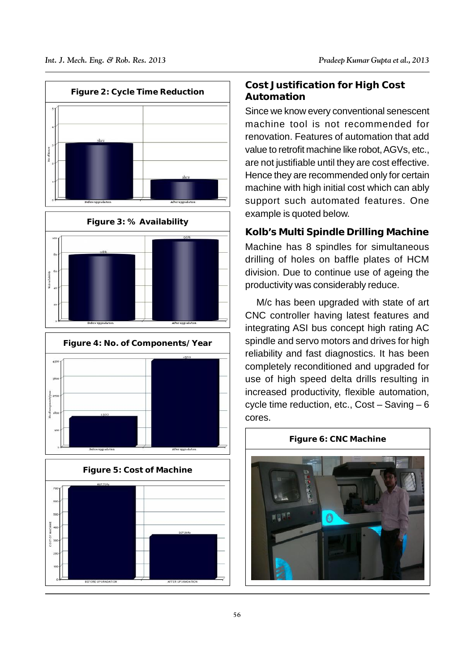

#### **Cost Justification for High Cost Automation**

Since we know every conventional senescent machine tool is not recommended for renovation. Features of automation that add value to retrofit machine like robot, AGVs, etc., are not justifiable until they are cost effective. Hence they are recommended only for certain machine with high initial cost which can ably support such automated features. One example is quoted below.

**Kolb's Multi Spindle Drilling Machine** Machine has 8 spindles for simultaneous drilling of holes on baffle plates of HCM division. Due to continue use of ageing the productivity was considerably reduce.

M/c has been upgraded with state of art CNC controller having latest features and integrating ASI bus concept high rating AC spindle and servo motors and drives for high reliability and fast diagnostics. It has been completely reconditioned and upgraded for use of high speed delta drills resulting in increased productivity, flexible automation, cycle time reduction, etc., Cost – Saving – 6 cores.

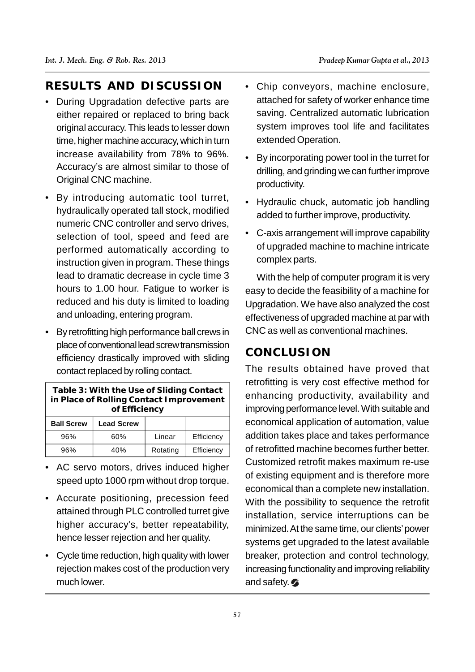# **RESULTS AND DISCUSSION**

- During Upgradation defective parts are either repaired or replaced to bring back original accuracy. This leads to lesser down time, higher machine accuracy, which in turn increase availability from 78% to 96%. Accuracy's are almost similar to those of Original CNC machine.
- By introducing automatic tool turret, hydraulically operated tall stock, modified numeric CNC controller and servo drives, selection of tool, speed and feed are performed automatically according to instruction given in program. These things lead to dramatic decrease in cycle time 3 hours to 1.00 hour. Fatigue to worker is reduced and his duty is limited to loading and unloading, entering program.
- By retrofitting high performance ball crews in place of conventional lead screw transmission efficiency drastically improved with sliding contact replaced by rolling contact.

| Table 3: With the Use of Sliding Contact<br>in Place of Rolling Contact Improvement<br>of Efficiency |                   |          |            |   |  |  |
|------------------------------------------------------------------------------------------------------|-------------------|----------|------------|---|--|--|
| <b>Ball Screw</b>                                                                                    | <b>Lead Screw</b> |          |            | е |  |  |
| 96%                                                                                                  | 60%               | Linear   | Efficiency | a |  |  |
| 96%                                                                                                  | 40%               | Rotating | Efficiency | O |  |  |

- AC servo motors, drives induced higher speed upto 1000 rpm without drop torque.
- Accurate positioning, precession feed attained through PLC controlled turret give higher accuracy's, better repeatability, hence lesser rejection and her quality.
- Cycle time reduction, high quality with lower rejection makes cost of the production very much lower.
- Chip conveyors, machine enclosure, attached for safety of worker enhance time saving. Centralized automatic lubrication system improves tool life and facilitates extended Operation.
- By incorporating power tool in the turret for drilling, and grinding we can further improve productivity.
- Hydraulic chuck, automatic job handling added to further improve, productivity.
- C-axis arrangement will improve capability of upgraded machine to machine intricate complex parts.

With the help of computer program it is very easy to decide the feasibility of a machine for Upgradation. We have also analyzed the cost effectiveness of upgraded machine at par with CNC as well as conventional machines.

## **CONCLUSION**

The results obtained have proved that retrofitting is very cost effective method for enhancing productivity, availability and improving performance level. With suitable and economical application of automation, value addition takes place and takes performance of retrofitted machine becomes further better. Customized retrofit makes maximum re-use of existing equipment and is therefore more economical than a complete new installation. With the possibility to sequence the retrofit installation, service interruptions can be minimized. At the same time, our clients' power systems get upgraded to the latest available breaker, protection and control technology, increasing functionality and improving reliability and safety.